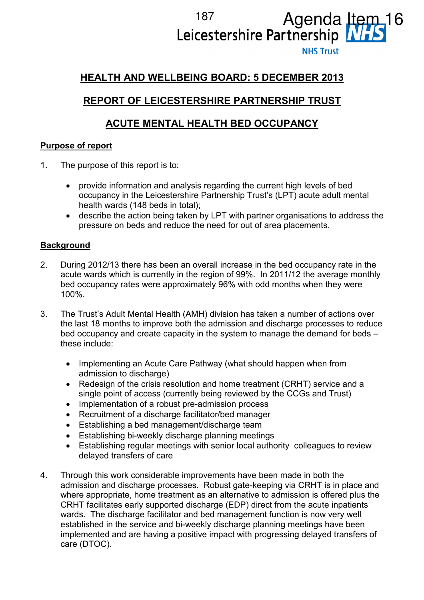# <sup>187</sup> Agenda Item 16<br>Leicestershire Partnership

**NHS Trust** 

# **HEALTH AND WELLBEING BOARD: 5 DECEMBER 2013**

# **REPORT OF LEICESTERSHIRE PARTNERSHIP TRUST**

# **ACUTE MENTAL HEALTH BED OCCUPANCY**

# **Purpose of report**

- 1. The purpose of this report is to:
	- provide information and analysis regarding the current high levels of bed occupancy in the Leicestershire Partnership Trust's (LPT) acute adult mental health wards (148 beds in total);
	- describe the action being taken by LPT with partner organisations to address the pressure on beds and reduce the need for out of area placements.

#### **Background**

- 2. During 2012/13 there has been an overall increase in the bed occupancy rate in the acute wards which is currently in the region of 99%. In 2011/12 the average monthly bed occupancy rates were approximately 96% with odd months when they were 100%.
- 3. The Trust's Adult Mental Health (AMH) division has taken a number of actions over the last 18 months to improve both the admission and discharge processes to reduce bed occupancy and create capacity in the system to manage the demand for beds – these include:
	- Implementing an Acute Care Pathway (what should happen when from admission to discharge)
	- Redesign of the crisis resolution and home treatment (CRHT) service and a single point of access (currently being reviewed by the CCGs and Trust)
	- Implementation of a robust pre-admission process
	- Recruitment of a discharge facilitator/bed manager
	- Establishing a bed management/discharge team
	- Establishing bi-weekly discharge planning meetings
	- Establishing regular meetings with senior local authority colleagues to review delayed transfers of care
- 4. Through this work considerable improvements have been made in both the admission and discharge processes. Robust gate-keeping via CRHT is in place and where appropriate, home treatment as an alternative to admission is offered plus the CRHT facilitates early supported discharge (EDP) direct from the acute inpatients wards. The discharge facilitator and bed management function is now very well established in the service and bi-weekly discharge planning meetings have been implemented and are having a positive impact with progressing delayed transfers of care (DTOC).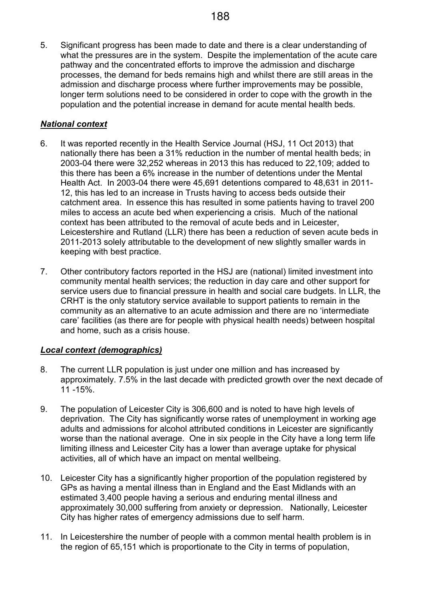5. Significant progress has been made to date and there is a clear understanding of what the pressures are in the system. Despite the implementation of the acute care pathway and the concentrated efforts to improve the admission and discharge processes, the demand for beds remains high and whilst there are still areas in the admission and discharge process where further improvements may be possible, longer term solutions need to be considered in order to cope with the growth in the population and the potential increase in demand for acute mental health beds.

# *National context*

- 6. It was reported recently in the Health Service Journal (HSJ, 11 Oct 2013) that nationally there has been a 31% reduction in the number of mental health beds; in 2003-04 there were 32,252 whereas in 2013 this has reduced to 22,109; added to this there has been a 6% increase in the number of detentions under the Mental Health Act. In 2003-04 there were 45,691 detentions compared to 48,631 in 2011- 12, this has led to an increase in Trusts having to access beds outside their catchment area. In essence this has resulted in some patients having to travel 200 miles to access an acute bed when experiencing a crisis. Much of the national context has been attributed to the removal of acute beds and in Leicester, Leicestershire and Rutland (LLR) there has been a reduction of seven acute beds in 2011-2013 solely attributable to the development of new slightly smaller wards in keeping with best practice.
- 7. Other contributory factors reported in the HSJ are (national) limited investment into community mental health services; the reduction in day care and other support for service users due to financial pressure in health and social care budgets. In LLR, the CRHT is the only statutory service available to support patients to remain in the community as an alternative to an acute admission and there are no 'intermediate care' facilities (as there are for people with physical health needs) between hospital and home, such as a crisis house.

# *Local context (demographics)*

- 8. The current LLR population is just under one million and has increased by approximately. 7.5% in the last decade with predicted growth over the next decade of 11 -15%.
- 9. The population of Leicester City is 306,600 and is noted to have high levels of deprivation. The City has significantly worse rates of unemployment in working age adults and admissions for alcohol attributed conditions in Leicester are significantly worse than the national average. One in six people in the City have a long term life limiting illness and Leicester City has a lower than average uptake for physical activities, all of which have an impact on mental wellbeing.
- 10. Leicester City has a significantly higher proportion of the population registered by GPs as having a mental illness than in England and the East Midlands with an estimated 3,400 people having a serious and enduring mental illness and approximately 30,000 suffering from anxiety or depression. Nationally, Leicester City has higher rates of emergency admissions due to self harm.
- 11. In Leicestershire the number of people with a common mental health problem is in the region of 65,151 which is proportionate to the City in terms of population,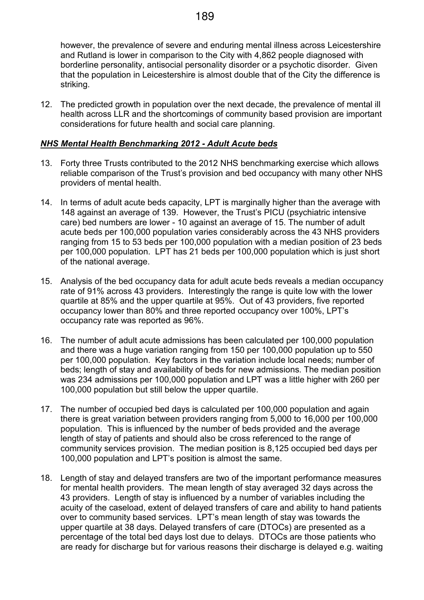however, the prevalence of severe and enduring mental illness across Leicestershire and Rutland is lower in comparison to the City with 4,862 people diagnosed with borderline personality, antisocial personality disorder or a psychotic disorder. Given that the population in Leicestershire is almost double that of the City the difference is striking.

12. The predicted growth in population over the next decade, the prevalence of mental ill health across LLR and the shortcomings of community based provision are important considerations for future health and social care planning.

#### *NHS Mental Health Benchmarking 2012 - Adult Acute beds*

- 13. Forty three Trusts contributed to the 2012 NHS benchmarking exercise which allows reliable comparison of the Trust's provision and bed occupancy with many other NHS providers of mental health.
- 14. In terms of adult acute beds capacity, LPT is marginally higher than the average with 148 against an average of 139. However, the Trust's PICU (psychiatric intensive care) bed numbers are lower - 10 against an average of 15. The number of adult acute beds per 100,000 population varies considerably across the 43 NHS providers ranging from 15 to 53 beds per 100,000 population with a median position of 23 beds per 100,000 population. LPT has 21 beds per 100,000 population which is just short of the national average.
- 15. Analysis of the bed occupancy data for adult acute beds reveals a median occupancy rate of 91% across 43 providers. Interestingly the range is quite low with the lower quartile at 85% and the upper quartile at 95%. Out of 43 providers, five reported occupancy lower than 80% and three reported occupancy over 100%, LPT's occupancy rate was reported as 96%.
- 16. The number of adult acute admissions has been calculated per 100,000 population and there was a huge variation ranging from 150 per 100,000 population up to 550 per 100,000 population. Key factors in the variation include local needs; number of beds; length of stay and availability of beds for new admissions. The median position was 234 admissions per 100,000 population and LPT was a little higher with 260 per 100,000 population but still below the upper quartile.
- 17. The number of occupied bed days is calculated per 100,000 population and again there is great variation between providers ranging from 5,000 to 16,000 per 100,000 population. This is influenced by the number of beds provided and the average length of stay of patients and should also be cross referenced to the range of community services provision. The median position is 8,125 occupied bed days per 100,000 population and LPT's position is almost the same.
- 18. Length of stay and delayed transfers are two of the important performance measures for mental health providers. The mean length of stay averaged 32 days across the 43 providers. Length of stay is influenced by a number of variables including the acuity of the caseload, extent of delayed transfers of care and ability to hand patients over to community based services. LPT's mean length of stay was towards the upper quartile at 38 days. Delayed transfers of care (DTOCs) are presented as a percentage of the total bed days lost due to delays. DTOCs are those patients who are ready for discharge but for various reasons their discharge is delayed e.g. waiting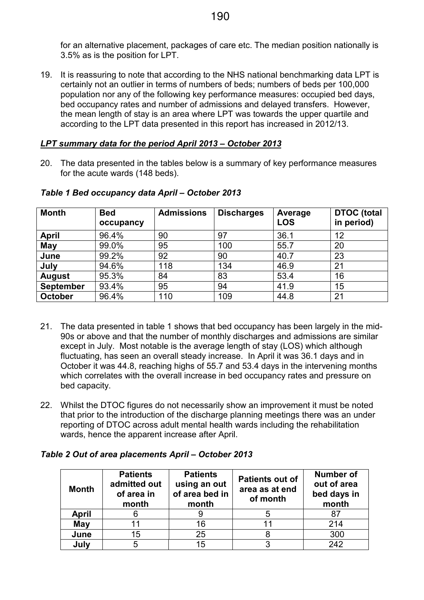for an alternative placement, packages of care etc. The median position nationally is 3.5% as is the position for LPT.

19. It is reassuring to note that according to the NHS national benchmarking data LPT is certainly not an outlier in terms of numbers of beds; numbers of beds per 100,000 population nor any of the following key performance measures: occupied bed days, bed occupancy rates and number of admissions and delayed transfers. However, the mean length of stay is an area where LPT was towards the upper quartile and according to the LPT data presented in this report has increased in 2012/13.

# *LPT summary data for the period April 2013 – October 2013*

20. The data presented in the tables below is a summary of key performance measures for the acute wards (148 beds).

| <b>Month</b>     | <b>Bed</b><br>occupancy | <b>Admissions</b> | <b>Discharges</b> | Average<br>LOS | <b>DTOC</b> (total<br>in period) |
|------------------|-------------------------|-------------------|-------------------|----------------|----------------------------------|
| <b>April</b>     | 96.4%                   | 90                | 97                | 36.1           | 12                               |
| <b>May</b>       | 99.0%                   | 95                | 100               | 55.7           | 20                               |
| June             | 99.2%                   | 92                | 90                | 40.7           | 23                               |
| July             | 94.6%                   | 118               | 134               | 46.9           | 21                               |
| <b>August</b>    | 95.3%                   | 84                | 83                | 53.4           | 16                               |
| <b>September</b> | 93.4%                   | 95                | 94                | 41.9           | 15                               |
| October          | 96.4%                   | 110               | 109               | 44.8           | 21                               |

#### *Table 1 Bed occupancy data April – October 2013*

- 21. The data presented in table 1 shows that bed occupancy has been largely in the mid-90s or above and that the number of monthly discharges and admissions are similar except in July. Most notable is the average length of stay (LOS) which although fluctuating, has seen an overall steady increase. In April it was 36.1 days and in October it was 44.8, reaching highs of 55.7 and 53.4 days in the intervening months which correlates with the overall increase in bed occupancy rates and pressure on bed capacity.
- 22. Whilst the DTOC figures do not necessarily show an improvement it must be noted that prior to the introduction of the discharge planning meetings there was an under reporting of DTOC across adult mental health wards including the rehabilitation wards, hence the apparent increase after April.

# *Table 2 Out of area placements April – October 2013*

| <b>Month</b> | <b>Patients</b><br>admitted out<br>of area in<br>month | <b>Patients</b><br>using an out<br>of area bed in<br>month | <b>Patients out of</b><br>area as at end<br>of month | <b>Number of</b><br>out of area<br>bed days in<br>month |
|--------------|--------------------------------------------------------|------------------------------------------------------------|------------------------------------------------------|---------------------------------------------------------|
| <b>April</b> |                                                        |                                                            |                                                      |                                                         |
| May          | 11                                                     | 16                                                         | 11                                                   | 214                                                     |
| June         | 15                                                     | 25                                                         |                                                      | 300                                                     |
| July         | 5                                                      | 15                                                         |                                                      | 242                                                     |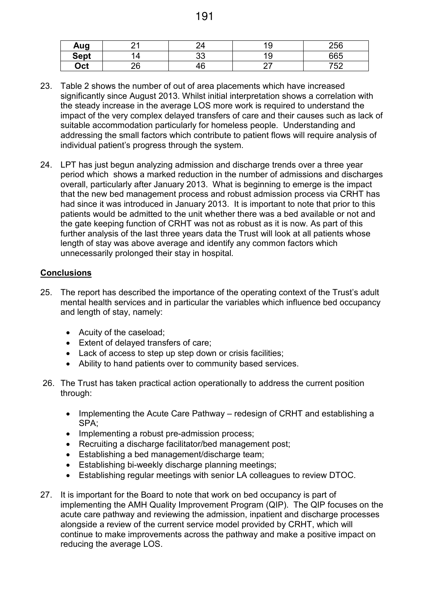| Aug  |          |    | . ອ | 256       |
|------|----------|----|-----|-----------|
| Sept |          | ບບ | .৬  | 665       |
| Oct  | າຂ<br>ີບ | 46 | - 1 | フドウ<br>◡▵ |

- 23. Table 2 shows the number of out of area placements which have increased significantly since August 2013. Whilst initial interpretation shows a correlation with the steady increase in the average LOS more work is required to understand the impact of the very complex delayed transfers of care and their causes such as lack of suitable accommodation particularly for homeless people. Understanding and addressing the small factors which contribute to patient flows will require analysis of individual patient's progress through the system.
- 24. LPT has just begun analyzing admission and discharge trends over a three year period which shows a marked reduction in the number of admissions and discharges overall, particularly after January 2013. What is beginning to emerge is the impact that the new bed management process and robust admission process via CRHT has had since it was introduced in January 2013. It is important to note that prior to this patients would be admitted to the unit whether there was a bed available or not and the gate keeping function of CRHT was not as robust as it is now. As part of this further analysis of the last three years data the Trust will look at all patients whose length of stay was above average and identify any common factors which unnecessarily prolonged their stay in hospital.

#### **Conclusions**

- 25. The report has described the importance of the operating context of the Trust's adult mental health services and in particular the variables which influence bed occupancy and length of stay, namely:
	- Acuity of the caseload;
	- Extent of delayed transfers of care;
	- Lack of access to step up step down or crisis facilities;
	- Ability to hand patients over to community based services.
- 26. The Trust has taken practical action operationally to address the current position through:
	- Implementing the Acute Care Pathway redesign of CRHT and establishing a SPA;
	- Implementing a robust pre-admission process;
	- Recruiting a discharge facilitator/bed management post;
	- Establishing a bed management/discharge team;
	- Establishing bi-weekly discharge planning meetings;
	- Establishing regular meetings with senior LA colleagues to review DTOC.
- 27. It is important for the Board to note that work on bed occupancy is part of implementing the AMH Quality Improvement Program (QIP). The QIP focuses on the acute care pathway and reviewing the admission, inpatient and discharge processes alongside a review of the current service model provided by CRHT, which will continue to make improvements across the pathway and make a positive impact on reducing the average LOS.